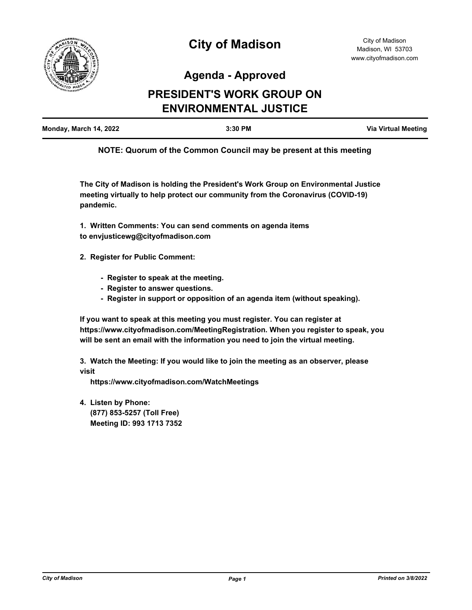

# **Agenda - Approved**

# **PRESIDENT'S WORK GROUP ON ENVIRONMENTAL JUSTICE**

| Monday, March 14, 2022<br>3:30 PM | <b>Via Virtual Meeting</b> |
|-----------------------------------|----------------------------|
|-----------------------------------|----------------------------|

**NOTE: Quorum of the Common Council may be present at this meeting**

**The City of Madison is holding the President's Work Group on Environmental Justice meeting virtually to help protect our community from the Coronavirus (COVID-19) pandemic.**

**1. Written Comments: You can send comments on agenda items to envjusticewg@cityofmadison.com**

- **2. Register for Public Comment:**
	- **Register to speak at the meeting.**
	- **Register to answer questions.**
	- **Register in support or opposition of an agenda item (without speaking).**

**If you want to speak at this meeting you must register. You can register at https://www.cityofmadison.com/MeetingRegistration. When you register to speak, you will be sent an email with the information you need to join the virtual meeting.**

**3. Watch the Meeting: If you would like to join the meeting as an observer, please visit** 

 **https://www.cityofmadison.com/WatchMeetings**

**4. Listen by Phone: (877) 853-5257 (Toll Free) Meeting ID: 993 1713 7352**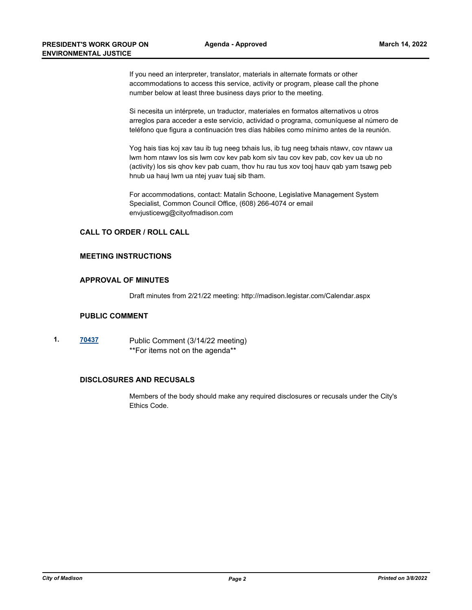If you need an interpreter, translator, materials in alternate formats or other accommodations to access this service, activity or program, please call the phone number below at least three business days prior to the meeting.

Si necesita un intérprete, un traductor, materiales en formatos alternativos u otros arreglos para acceder a este servicio, actividad o programa, comuníquese al número de teléfono que figura a continuación tres días hábiles como mínimo antes de la reunión.

Yog hais tias koj xav tau ib tug neeg txhais lus, ib tug neeg txhais ntawv, cov ntawv ua lwm hom ntawv los sis lwm cov kev pab kom siv tau cov kev pab, cov kev ua ub no (activity) los sis qhov kev pab cuam, thov hu rau tus xov tooj hauv qab yam tsawg peb hnub ua hauj lwm ua ntej yuav tuaj sib tham.

For accommodations, contact: Matalin Schoone, Legislative Management System Specialist, Common Council Office, (608) 266-4074 or email envjusticewg@cityofmadison.com

#### **CALL TO ORDER / ROLL CALL**

#### **MEETING INSTRUCTIONS**

#### **APPROVAL OF MINUTES**

Draft minutes from 2/21/22 meeting: http://madison.legistar.com/Calendar.aspx

#### **PUBLIC COMMENT**

**1. [70437](http://madison.legistar.com/gateway.aspx?m=l&id=/matter.aspx?key=82504)** Public Comment (3/14/22 meeting) \*\*For items not on the agenda\*\*

## **DISCLOSURES AND RECUSALS**

Members of the body should make any required disclosures or recusals under the City's Ethics Code.